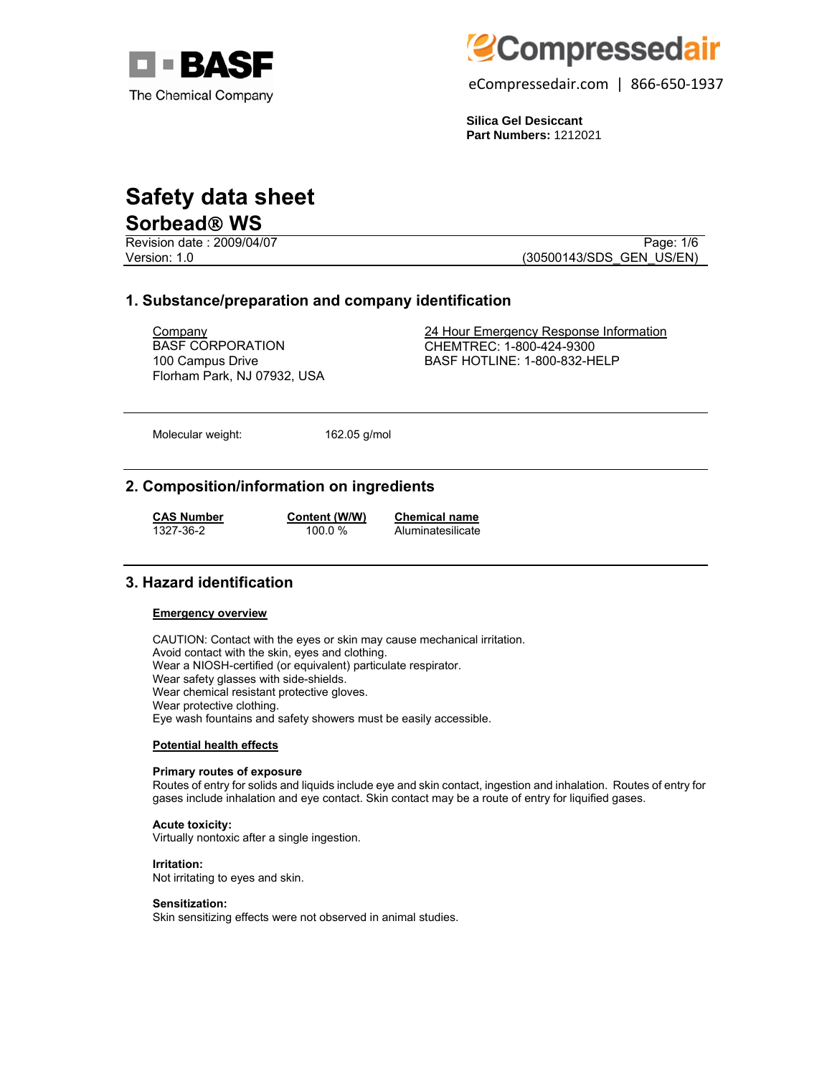



eCompressedair.com | 866-650-1937

**Silica Gel Desiccant Part Numbers:** 1212021

# **Safety data sheet**

# **Sorbead**® **WS**

Revision date : 2009/04/07 Page: 1/6

Version: 1.0 (30500143/SDS\_GEN\_US/EN)

# **1. Substance/preparation and company identification**

BASF CORPORATION 100 Campus Drive Florham Park, NJ 07932, USA

Company 24 Hour Emergency Response Information CHEMTREC: 1-800-424-9300 BASF HOTLINE: 1-800-832-HELP

Molecular weight: 162.05 g/mol

# **2. Composition/information on ingredients**

**CAS Number Content (W/W) Chemical name**

100.0 % Aluminatesilicate

# **3. Hazard identification**

#### **Emergency overview**

CAUTION: Contact with the eyes or skin may cause mechanical irritation. Avoid contact with the skin, eyes and clothing. Wear a NIOSH-certified (or equivalent) particulate respirator. Wear safety glasses with side-shields. Wear chemical resistant protective gloves. Wear protective clothing. Eye wash fountains and safety showers must be easily accessible.

#### **Potential health effects**

#### **Primary routes of exposure**

Routes of entry for solids and liquids include eye and skin contact, ingestion and inhalation. Routes of entry for gases include inhalation and eye contact. Skin contact may be a route of entry for liquified gases.

# **Acute toxicity:**

Virtually nontoxic after a single ingestion.

#### **Irritation:**

Not irritating to eyes and skin.

#### **Sensitization:**

Skin sensitizing effects were not observed in animal studies.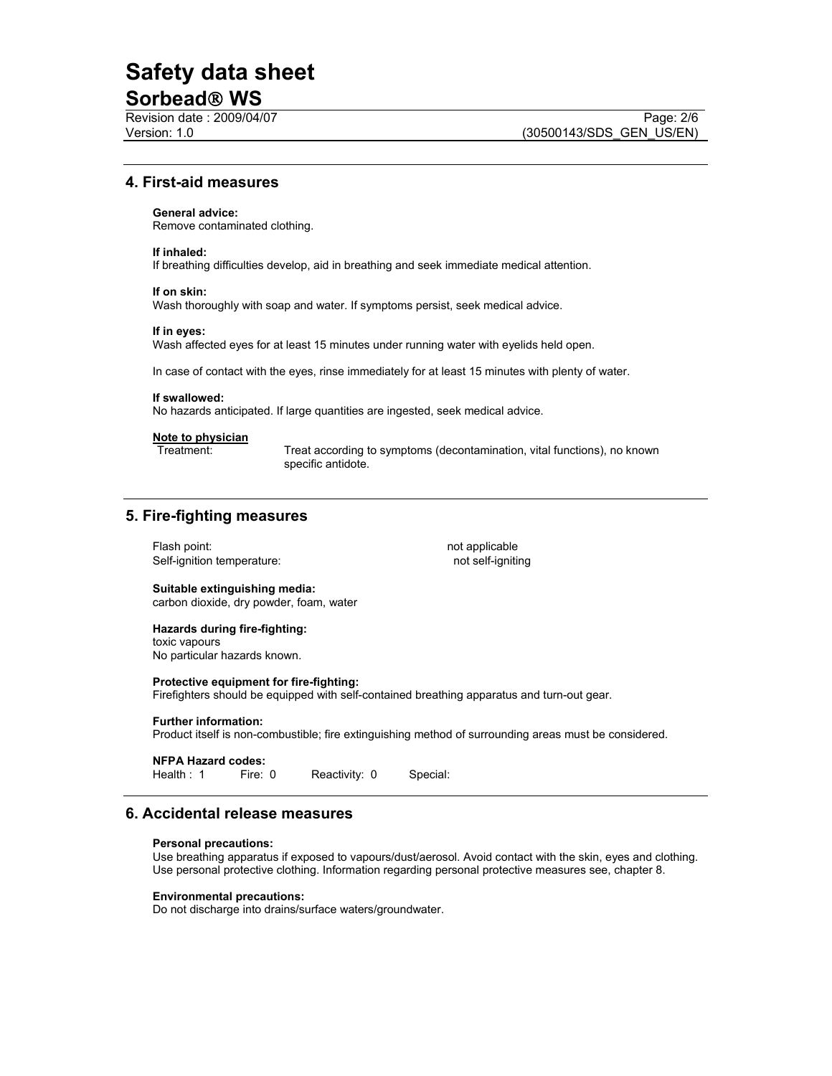# **Safety data sheet**

# **Sorbead**® **WS**

# **4. First-aid measures**

#### **General advice:**

Remove contaminated clothing.

#### **If inhaled:**

If breathing difficulties develop, aid in breathing and seek immediate medical attention.

#### **If on skin:**

Wash thoroughly with soap and water. If symptoms persist, seek medical advice.

#### **If in eyes:**

Wash affected eyes for at least 15 minutes under running water with eyelids held open.

In case of contact with the eyes, rinse immediately for at least 15 minutes with plenty of water.

#### **If swallowed:**

No hazards anticipated. If large quantities are ingested, seek medical advice.

#### **Note to physician**

Treatment: Treat according to symptoms (decontamination, vital functions), no known specific antidote.

### **5. Fire-fighting measures**

Flash point: not applicable Self-ignition temperature: not self-igniting

#### **Suitable extinguishing media:**  carbon dioxide, dry powder, foam, water

#### **Hazards during fire-fighting:**  toxic vapours

No particular hazards known.

#### **Protective equipment for fire-fighting:**

Firefighters should be equipped with self-contained breathing apparatus and turn-out gear.

#### **Further information:**

Product itself is non-combustible; fire extinguishing method of surrounding areas must be considered.

# **NFPA Hazard codes:**

Reactivity: 0 Special:

# **6. Accidental release measures**

#### **Personal precautions:**

Use breathing apparatus if exposed to vapours/dust/aerosol. Avoid contact with the skin, eyes and clothing. Use personal protective clothing. Information regarding personal protective measures see, chapter 8.

#### **Environmental precautions:**

Do not discharge into drains/surface waters/groundwater.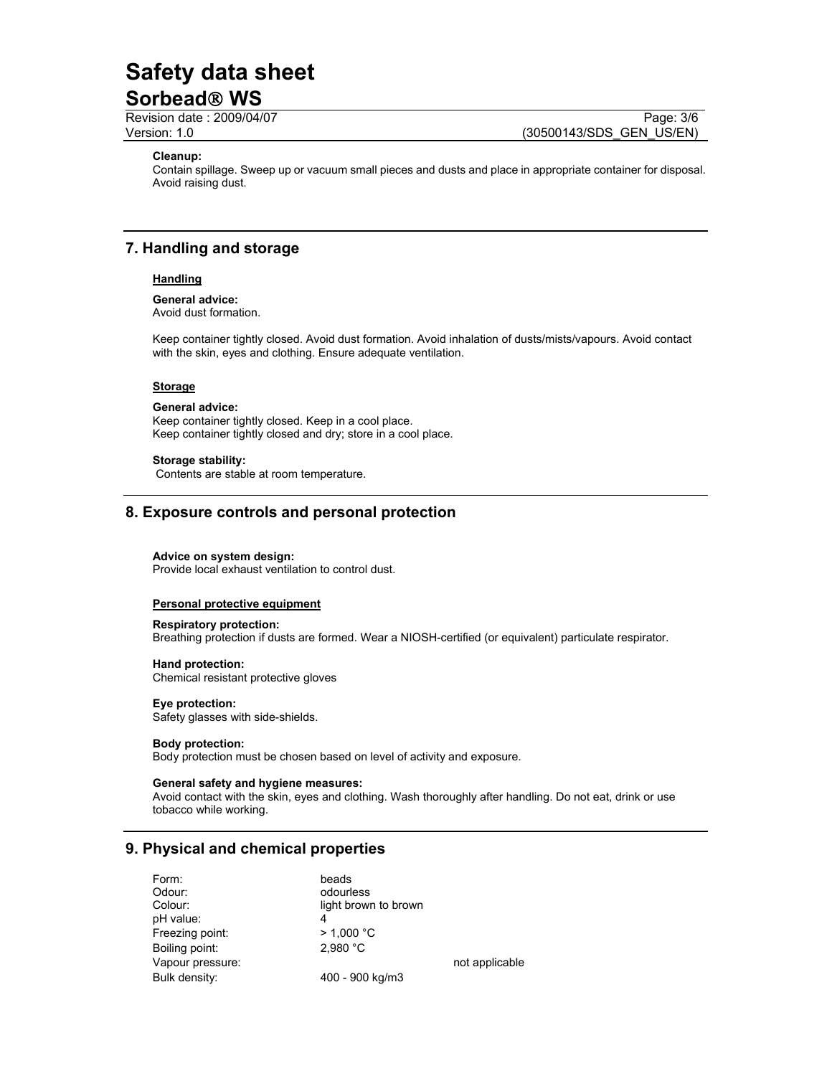# **Safety data sheet**

# **Sorbead**® **WS**

Revision date : 2009/04/07 Page: 3/6 Version: 1.0 (30500143/SDS\_GEN\_US/EN)

### **Cleanup:**

Contain spillage. Sweep up or vacuum small pieces and dusts and place in appropriate container for disposal. Avoid raising dust.

### **7. Handling and storage**

#### **Handling**

**General advice:** Avoid dust formation.

Keep container tightly closed. Avoid dust formation. Avoid inhalation of dusts/mists/vapours. Avoid contact with the skin, eyes and clothing. Ensure adequate ventilation.

#### **Storage**

#### **General advice:**

Keep container tightly closed. Keep in a cool place. Keep container tightly closed and dry; store in a cool place.

#### **Storage stability:**

Contents are stable at room temperature.

### **8. Exposure controls and personal protection**

#### **Advice on system design:**

Provide local exhaust ventilation to control dust.

#### **Personal protective equipment**

#### **Respiratory protection:** Breathing protection if dusts are formed. Wear a NIOSH-certified (or equivalent) particulate respirator.

**Hand protection:** Chemical resistant protective gloves

### **Eye protection:**

Safety glasses with side-shields.

#### **Body protection:**

Body protection must be chosen based on level of activity and exposure.

#### **General safety and hygiene measures:**

Avoid contact with the skin, eyes and clothing. Wash thoroughly after handling. Do not eat, drink or use tobacco while working.

### **9. Physical and chemical properties**

| Form:            | beads                |                |
|------------------|----------------------|----------------|
| Odour:           | odourless            |                |
| Colour:          | light brown to brown |                |
| pH value:        | 4                    |                |
| Freezing point:  | $>$ 1.000 °C         |                |
| Boiling point:   | 2.980 °C             |                |
| Vapour pressure: |                      | not applicable |
| Bulk density:    | 400 - 900 kg/m3      |                |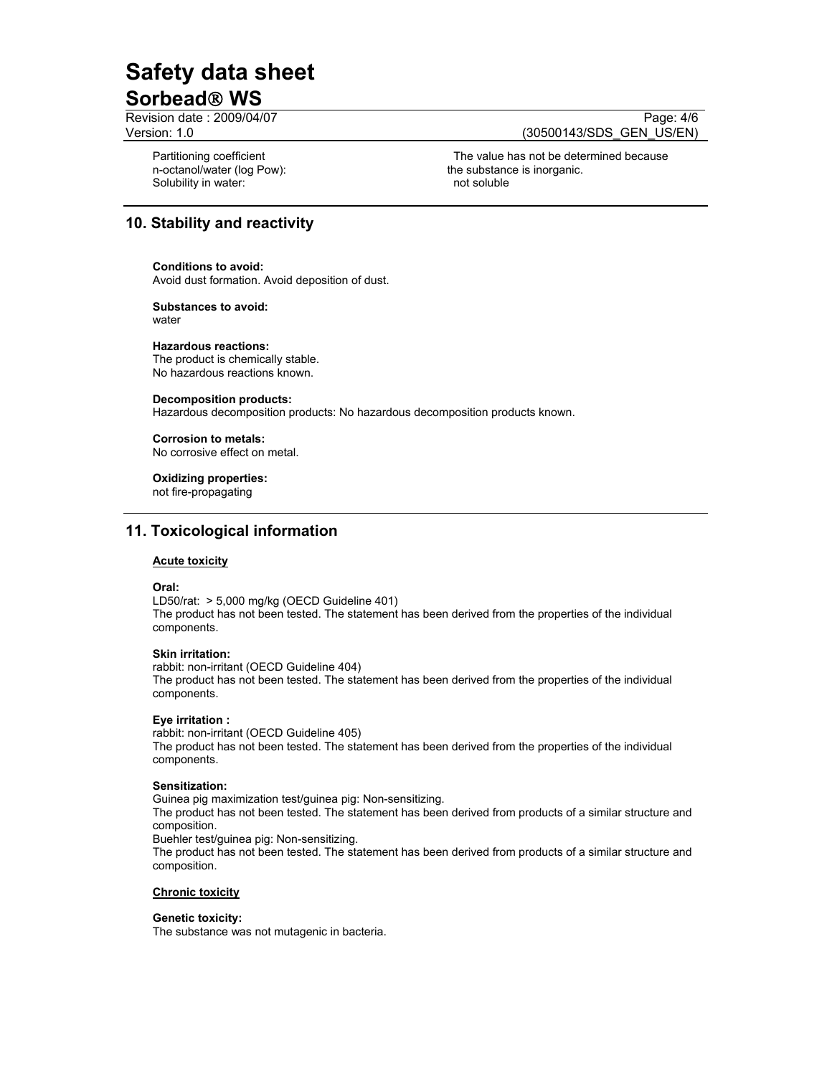# **Safety data sheet Sorbead**® **WS**

Revision date : 2009/04/07 Page: 4/6

Partitioning coefficient n-octanol/water (log Pow): Solubility in water: not soluble and soluble in the soluble soluble soluble soluble

Version: 1.0 (30500143/SDS\_GEN\_US/EN)

 The value has not be determined because the substance is inorganic.

# **10. Stability and reactivity**

#### **Conditions to avoid:**

Avoid dust formation. Avoid deposition of dust.

#### **Substances to avoid:** water

#### **Hazardous reactions:**

The product is chemically stable. No hazardous reactions known.

#### **Decomposition products:**

Hazardous decomposition products: No hazardous decomposition products known.

#### **Corrosion to metals:**

No corrosive effect on metal.

#### **Oxidizing properties:**

not fire-propagating

# **11. Toxicological information**

#### **Acute toxicity**

#### **Oral:**

LD50/rat: > 5,000 mg/kg (OECD Guideline 401) The product has not been tested. The statement has been derived from the properties of the individual components.

#### **Skin irritation:**

rabbit: non-irritant (OECD Guideline 404)

The product has not been tested. The statement has been derived from the properties of the individual components.

#### **Eye irritation :**

rabbit: non-irritant (OECD Guideline 405) The product has not been tested. The statement has been derived from the properties of the individual components.

#### **Sensitization:**

Guinea pig maximization test/guinea pig: Non-sensitizing. The product has not been tested. The statement has been derived from products of a similar structure and composition.

Buehler test/guinea pig: Non-sensitizing.

The product has not been tested. The statement has been derived from products of a similar structure and composition.

#### **Chronic toxicity**

#### **Genetic toxicity:**

The substance was not mutagenic in bacteria.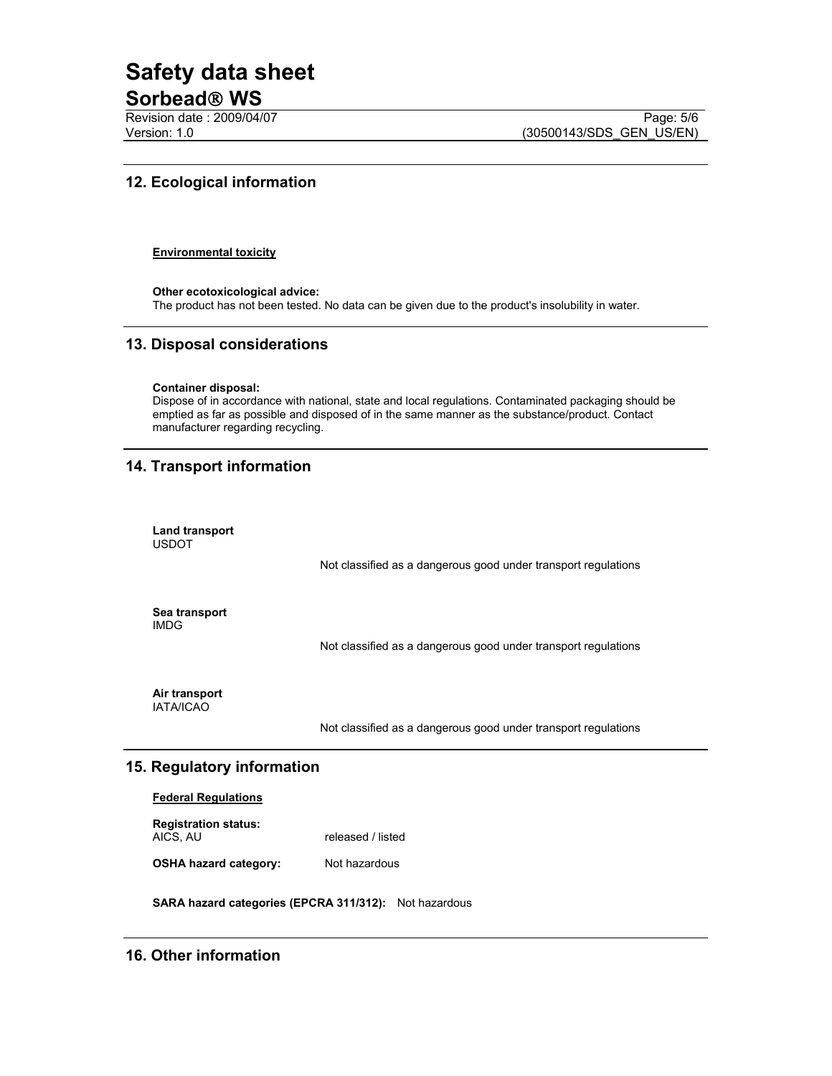# **Safety data sheet**

# **Sorbead**® **WS**

Revision date : 2009/04/07 Page: 5/6<br>Version: 1.0 (30500143/SDS\_GEN\_US/EN) (30500143/SDS\_GEN\_US/EN)

# **12. Ecological information**

#### **Environmental toxicity**

**Other ecotoxicological advice:**  The product has not been tested. No data can be given due to the product's insolubility in water.

# **13. Disposal considerations**

#### **Container disposal:**

Dispose of in accordance with national, state and local regulations. Contaminated packaging should be emptied as far as possible and disposed of in the same manner as the substance/product. Contact manufacturer regarding recycling.

# **14. Transport information**

| Land transport<br><b>USDOT</b> |                                                                |
|--------------------------------|----------------------------------------------------------------|
|                                | Not classified as a dangerous good under transport regulations |
| Sea transport<br><b>IMDG</b>   |                                                                |
|                                | Not classified as a dangerous good under transport regulations |

**Air transport**  IATA/ICAO

Not classified as a dangerous good under transport regulations

### **15. Regulatory information**

#### **Federal Regulations**

| <b>Registration status:</b> |                   |
|-----------------------------|-------------------|
| AICS, AU                    | released / listed |

**OSHA hazard category:** Not hazardous

**SARA hazard categories (EPCRA 311/312):** Not hazardous

# **16. Other information**